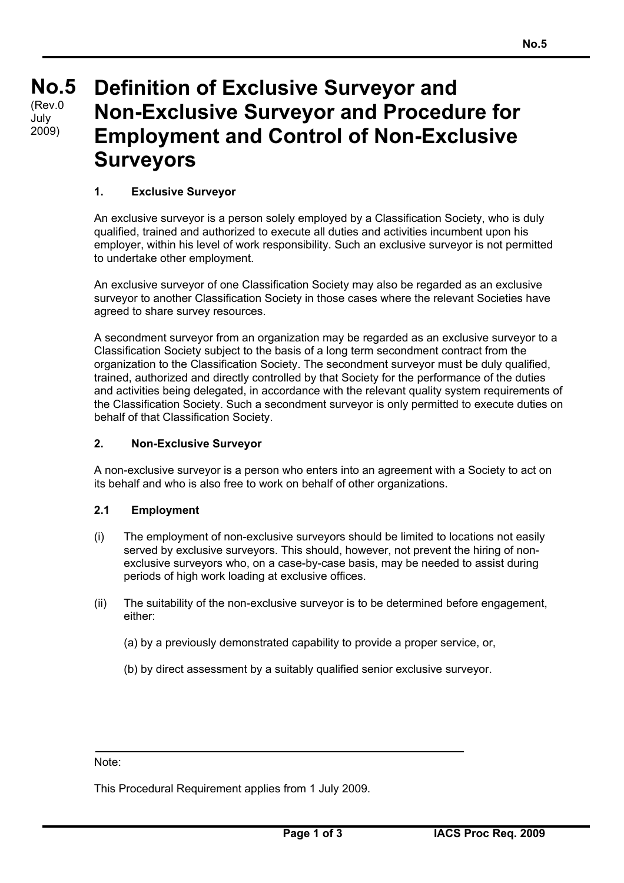## **No.5 No.5** (Rev.0 July 2009)

# **Definition of Exclusive Surveyor and Non-Exclusive Surveyor and Procedure for Employment and Control of Non-Exclusive Surveyors**

# **1. Exclusive Surveyor**

An exclusive surveyor is a person solely employed by a Classification Society, who is duly qualified, trained and authorized to execute all duties and activities incumbent upon his employer, within his level of work responsibility. Such an exclusive surveyor is not permitted to undertake other employment.

An exclusive surveyor of one Classification Society may also be regarded as an exclusive surveyor to another Classification Society in those cases where the relevant Societies have agreed to share survey resources.

A secondment surveyor from an organization may be regarded as an exclusive surveyor to a Classification Society subject to the basis of a long term secondment contract from the organization to the Classification Society. The secondment surveyor must be duly qualified, trained, authorized and directly controlled by that Society for the performance of the duties and activities being delegated, in accordance with the relevant quality system requirements of the Classification Society. Such a secondment surveyor is only permitted to execute duties on behalf of that Classification Society.

#### **2. Non-Exclusive Surveyor**

A non-exclusive surveyor is a person who enters into an agreement with a Society to act on its behalf and who is also free to work on behalf of other organizations.

#### **2.1 Employment**

- (i) The employment of non-exclusive surveyors should be limited to locations not easily served by exclusive surveyors. This should, however, not prevent the hiring of nonexclusive surveyors who, on a case-by-case basis, may be needed to assist during periods of high work loading at exclusive offices.
- (ii) The suitability of the non-exclusive surveyor is to be determined before engagement, either:
	- (a) by a previously demonstrated capability to provide a proper service, or,
	- (b) by direct assessment by a suitably qualified senior exclusive surveyor.

#### Note:

This Procedural Requirement applies from 1 July 2009.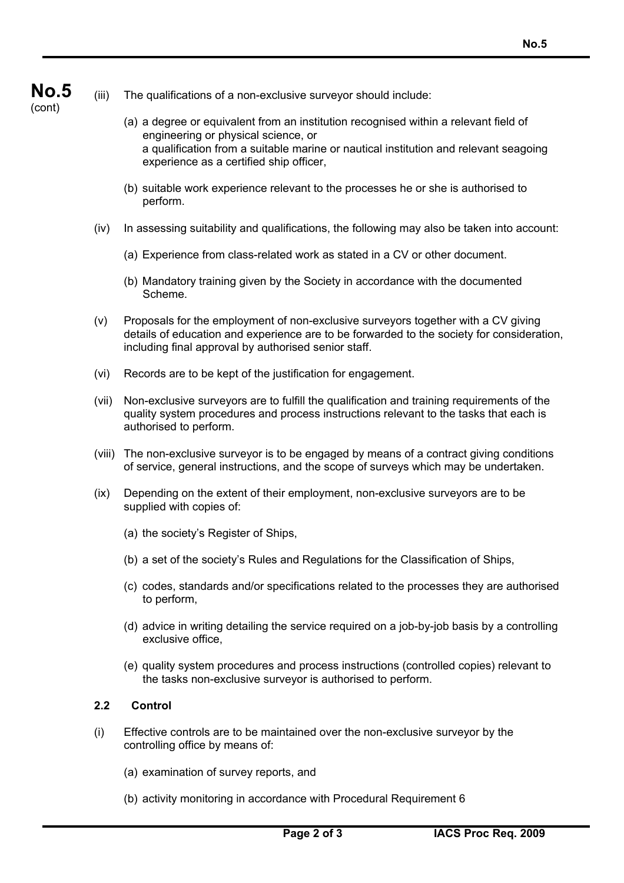

- (iii) The qualifications of a non-exclusive surveyor should include:
	- (a) a degree or equivalent from an institution recognised within a relevant field of engineering or physical science, or a qualification from a suitable marine or nautical institution and relevant seagoing experience as a certified ship officer,
	- (b) suitable work experience relevant to the processes he or she is authorised to perform.
- $(iv)$  In assessing suitability and qualifications, the following may also be taken into account:
	- (a) Experience from class-related work as stated in a CV or other document.
	- (b) Mandatory training given by the Society in accordance with the documented Scheme.
- (v) Proposals for the employment of non-exclusive surveyors together with a CV giving details of education and experience are to be forwarded to the society for consideration, including final approval by authorised senior staff.
- (vi) Records are to be kept of the justification for engagement.
- (vii) Non-exclusive surveyors are to fulfill the qualification and training requirements of the quality system procedures and process instructions relevant to the tasks that each is authorised to perform.
- (viii) The non-exclusive surveyor is to be engaged by means of a contract giving conditions of service, general instructions, and the scope of surveys which may be undertaken.
- (ix) Depending on the extent of their employment, non-exclusive surveyors are to be supplied with copies of:
	- (a) the society's Register of Ships,
	- (b) a set of the society's Rules and Regulations for the Classification of Ships,
	- (c) codes, standards and/or specifications related to the processes they are authorised to perform,
	- (d) advice in writing detailing the service required on a job-by-job basis by a controlling exclusive office,
	- (e) quality system procedures and process instructions (controlled copies) relevant to the tasks non-exclusive surveyor is authorised to perform.

## **2.2 Control**

- (i) Effective controls are to be maintained over the non-exclusive surveyor by the controlling office by means of:
	- (a) examination of survey reports, and
	- (b) activity monitoring in accordance with Procedural Requirement 6